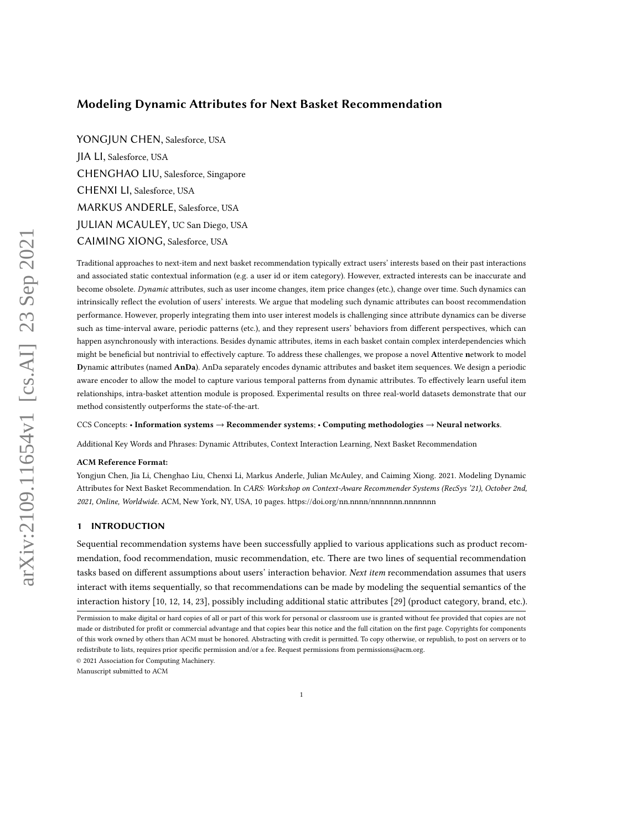# Modeling Dynamic Attributes for Next Basket Recommendation

YONGJUN CHEN, Salesforce, USA JIA LI, Salesforce, USA CHENGHAO LIU, Salesforce, Singapore CHENXI LI, Salesforce, USA MARKUS ANDERLE, Salesforce, USA JULIAN MCAULEY, UC San Diego, USA CAIMING XIONG, Salesforce, USA

Traditional approaches to next-item and next basket recommendation typically extract users' interests based on their past interactions and associated static contextual information (e.g. a user id or item category). However, extracted interests can be inaccurate and become obsolete. Dynamic attributes, such as user income changes, item price changes (etc.), change over time. Such dynamics can intrinsically reflect the evolution of users' interests. We argue that modeling such dynamic attributes can boost recommendation performance. However, properly integrating them into user interest models is challenging since attribute dynamics can be diverse such as time-interval aware, periodic patterns (etc.), and they represent users' behaviors from different perspectives, which can happen asynchronously with interactions. Besides dynamic attributes, items in each basket contain complex interdependencies which might be beneficial but nontrivial to effectively capture. To address these challenges, we propose a novel Attentive network to model Dynamic attributes (named AnDa). AnDa separately encodes dynamic attributes and basket item sequences. We design a periodic aware encoder to allow the model to capture various temporal patterns from dynamic attributes. To effectively learn useful item relationships, intra-basket attention module is proposed. Experimental results on three real-world datasets demonstrate that our method consistently outperforms the state-of-the-art.

## CCS Concepts: • Information systems → Recommender systems; • Computing methodologies → Neural networks.

Additional Key Words and Phrases: Dynamic Attributes, Context Interaction Learning, Next Basket Recommendation

#### ACM Reference Format:

Yongjun Chen, Jia Li, Chenghao Liu, Chenxi Li, Markus Anderle, Julian McAuley, and Caiming Xiong. 2021. Modeling Dynamic Attributes for Next Basket Recommendation. In CARS: Workshop on Context-Aware Recommender Systems (RecSys '21), October 2nd, 2021, Online, Worldwide. ACM, New York, NY, USA, [10](#page-9-0) pages.<https://doi.org/nn.nnnn/nnnnnnn.nnnnnnn>

## 1 INTRODUCTION

Sequential recommendation systems have been successfully applied to various applications such as product recommendation, food recommendation, music recommendation, etc. There are two lines of sequential recommendation tasks based on different assumptions about users' interaction behavior. Next item recommendation assumes that users interact with items sequentially, so that recommendations can be made by modeling the sequential semantics of the interaction history [\[10,](#page-8-0) [12,](#page-8-1) [14,](#page-8-2) [23\]](#page-9-1), possibly including additional static attributes [\[29\]](#page-9-2) (product category, brand, etc.).

© 2021 Association for Computing Machinery.

Manuscript submitted to ACM

Permission to make digital or hard copies of all or part of this work for personal or classroom use is granted without fee provided that copies are not made or distributed for profit or commercial advantage and that copies bear this notice and the full citation on the first page. Copyrights for components of this work owned by others than ACM must be honored. Abstracting with credit is permitted. To copy otherwise, or republish, to post on servers or to redistribute to lists, requires prior specific permission and/or a fee. Request permissions from permissions@acm.org.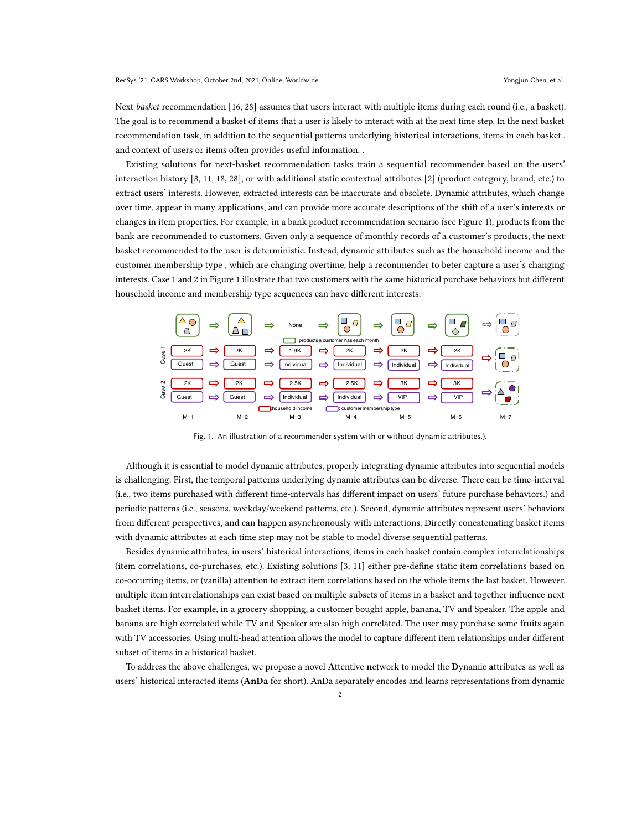Next basket recommendation [\[16,](#page-9-3) [28\]](#page-9-4) assumes that users interact with multiple items during each round (i.e., a basket). The goal is to recommend a basket of items that a user is likely to interact with at the next time step. In the next basket recommendation task, in addition to the sequential patterns underlying historical interactions, items in each basket , and context of users or items often provides useful information. .

Existing solutions for next-basket recommendation tasks train a sequential recommender based on the users' interaction history [\[8,](#page-8-3) [11,](#page-8-4) [18,](#page-9-5) [28\]](#page-9-4), or with additional static contextual attributes [\[2\]](#page-8-5) (product category, brand, etc.) to extract users' interests. However, extracted interests can be inaccurate and obsolete. Dynamic attributes, which change over time, appear in many applications, and can provide more accurate descriptions of the shift of a user's interests or changes in item properties. For example, in a bank product recommendation scenario (see Figure [1\)](#page-1-0), products from the bank are recommended to customers. Given only a sequence of monthly records of a customer's products, the next basket recommended to the user is deterministic. Instead, dynamic attributes such as the household income and the customer membership type , which are changing overtime, help a recommender to beter capture a user's changing interests. Case 1 and 2 in Figure [1](#page-1-0) illustrate that two customers with the same historical purchase behaviors but different household income and membership type sequences can have different interests.

<span id="page-1-0"></span>

Fig. 1. An illustration of a recommender system with or without dynamic attributes.).

Although it is essential to model dynamic attributes, properly integrating dynamic attributes into sequential models is challenging. First, the temporal patterns underlying dynamic attributes can be diverse. There can be time-interval (i.e., two items purchased with different time-intervals has different impact on users' future purchase behaviors.) and periodic patterns (i.e., seasons, weekday/weekend patterns, etc.). Second, dynamic attributes represent users' behaviors from different perspectives, and can happen asynchronously with interactions. Directly concatenating basket items with dynamic attributes at each time step may not be stable to model diverse sequential patterns.

Besides dynamic attributes, in users' historical interactions, items in each basket contain complex interrelationships (item correlations, co-purchases, etc.). Existing solutions [\[3,](#page-8-6) [11\]](#page-8-4) either pre-define static item correlations based on co-occurring items, or (vanilla) attention to extract item correlations based on the whole items the last basket. However, multiple item interrelationships can exist based on multiple subsets of items in a basket and together influence next basket items. For example, in a grocery shopping, a customer bought apple, banana, TV and Speaker. The apple and banana are high correlated while TV and Speaker are also high correlated. The user may purchase some fruits again with TV accessories. Using multi-head attention allows the model to capture different item relationships under different subset of items in a historical basket.

To address the above challenges, we propose a novel Attentive network to model the Dynamic attributes as well as users' historical interacted items (AnDa for short). AnDa separately encodes and learns representations from dynamic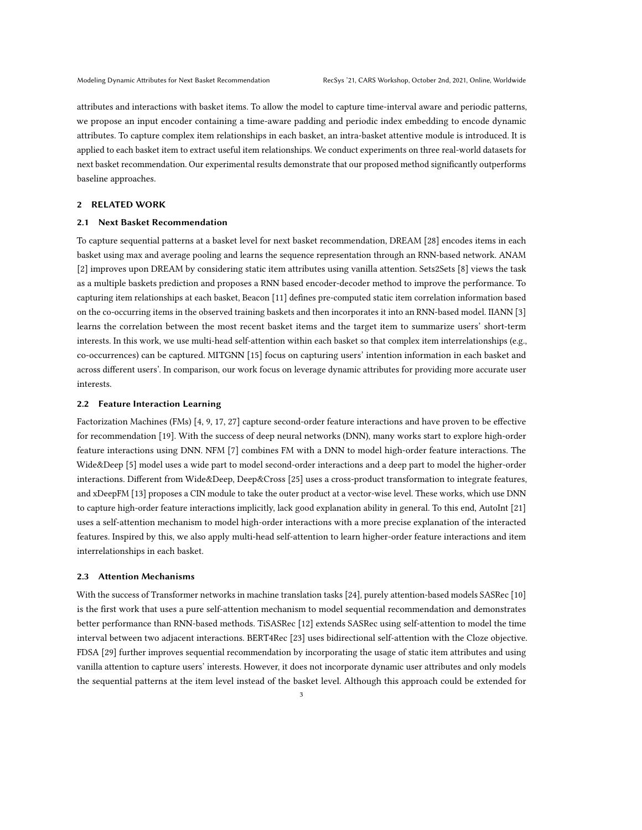attributes and interactions with basket items. To allow the model to capture time-interval aware and periodic patterns, we propose an input encoder containing a time-aware padding and periodic index embedding to encode dynamic attributes. To capture complex item relationships in each basket, an intra-basket attentive module is introduced. It is applied to each basket item to extract useful item relationships. We conduct experiments on three real-world datasets for next basket recommendation. Our experimental results demonstrate that our proposed method significantly outperforms baseline approaches.

#### 2 RELATED WORK

## 2.1 Next Basket Recommendation

To capture sequential patterns at a basket level for next basket recommendation, DREAM [\[28\]](#page-9-4) encodes items in each basket using max and average pooling and learns the sequence representation through an RNN-based network. ANAM [\[2\]](#page-8-5) improves upon DREAM by considering static item attributes using vanilla attention. Sets2Sets [\[8\]](#page-8-3) views the task as a multiple baskets prediction and proposes a RNN based encoder-decoder method to improve the performance. To capturing item relationships at each basket, Beacon [\[11\]](#page-8-4) defines pre-computed static item correlation information based on the co-occurring items in the observed training baskets and then incorporates it into an RNN-based model. IIANN [\[3\]](#page-8-6) learns the correlation between the most recent basket items and the target item to summarize users' short-term interests. In this work, we use multi-head self-attention within each basket so that complex item interrelationships (e.g., co-occurrences) can be captured. MITGNN [\[15\]](#page-9-6) focus on capturing users' intention information in each basket and across different users'. In comparison, our work focus on leverage dynamic attributes for providing more accurate user interests.

### 2.2 Feature Interaction Learning

Factorization Machines (FMs) [\[4,](#page-8-7) [9,](#page-8-8) [17,](#page-9-7) [27\]](#page-9-8) capture second-order feature interactions and have proven to be effective for recommendation [\[19\]](#page-9-9). With the success of deep neural networks (DNN), many works start to explore high-order feature interactions using DNN. NFM [\[7\]](#page-8-9) combines FM with a DNN to model high-order feature interactions. The Wide&Deep [\[5\]](#page-8-10) model uses a wide part to model second-order interactions and a deep part to model the higher-order interactions. Different from Wide&Deep, Deep&Cross [\[25\]](#page-9-10) uses a cross-product transformation to integrate features, and xDeepFM [\[13\]](#page-8-11) proposes a CIN module to take the outer product at a vector-wise level. These works, which use DNN to capture high-order feature interactions implicitly, lack good explanation ability in general. To this end, AutoInt [\[21\]](#page-9-11) uses a self-attention mechanism to model high-order interactions with a more precise explanation of the interacted features. Inspired by this, we also apply multi-head self-attention to learn higher-order feature interactions and item interrelationships in each basket.

## 2.3 Attention Mechanisms

With the success of Transformer networks in machine translation tasks [\[24\]](#page-9-12), purely attention-based models SASRec [\[10\]](#page-8-0) is the first work that uses a pure self-attention mechanism to model sequential recommendation and demonstrates better performance than RNN-based methods. TiSASRec [\[12\]](#page-8-1) extends SASRec using self-attention to model the time interval between two adjacent interactions. BERT4Rec [\[23\]](#page-9-1) uses bidirectional self-attention with the Cloze objective. FDSA [\[29\]](#page-9-2) further improves sequential recommendation by incorporating the usage of static item attributes and using vanilla attention to capture users' interests. However, it does not incorporate dynamic user attributes and only models the sequential patterns at the item level instead of the basket level. Although this approach could be extended for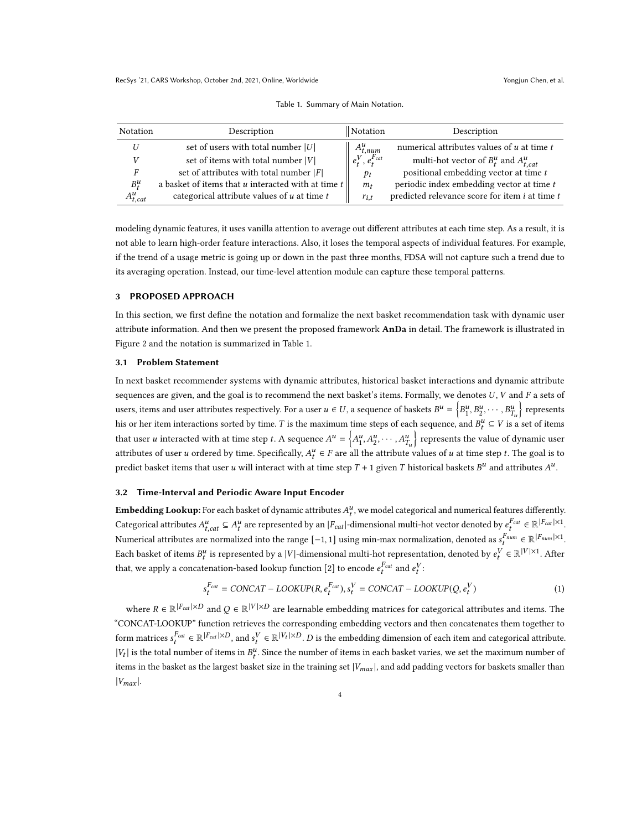<span id="page-3-0"></span>RecSys '21, CARS Workshop, October 2nd, 2021, Online, Worldwide Yongjun Chen, et al.

| Notation      | Description                                                  | Notation                                                               | Description                                        |
|---------------|--------------------------------------------------------------|------------------------------------------------------------------------|----------------------------------------------------|
|               | set of users with total number $ U $                         |                                                                        | numerical attributes values of $u$ at time $t$     |
|               | set of items with total number $ V $                         | $\begin{array}{c} A^u_{t,\mathit{num}}\\ e^V_t, e^{Fac}_t \end{array}$ | multi-hot vector of $B_t^u$ and $A_{t,cat}^u$      |
| F             | set of attributes with total number $ F $                    | $p_t$                                                                  | positional embedding vector at time t              |
| $B_t^u$       | a basket of items that $u$ interacted with at time $t$       | $m_t$                                                                  | periodic index embedding vector at time t          |
| $A_{t,cat}^u$ | categorical attribute values of $\boldsymbol{u}$ at time $t$ | $r_{i,t}$                                                              | predicted relevance score for item $i$ at time $t$ |

|  |  | Table 1. Summary of Main Notation. |  |  |  |
|--|--|------------------------------------|--|--|--|
|--|--|------------------------------------|--|--|--|

modeling dynamic features, it uses vanilla attention to average out different attributes at each time step. As a result, it is not able to learn high-order feature interactions. Also, it loses the temporal aspects of individual features. For example, if the trend of a usage metric is going up or down in the past three months, FDSA will not capture such a trend due to its averaging operation. Instead, our time-level attention module can capture these temporal patterns.

## 3 PROPOSED APPROACH

In this section, we first define the notation and formalize the next basket recommendation task with dynamic user attribute information. And then we present the proposed framework AnDa in detail. The framework is illustrated in Figure [2](#page-4-0) and the notation is summarized in Table [1.](#page-3-0)

## 3.1 Problem Statement

In next basket recommender systems with dynamic attributes, historical basket interactions and dynamic attribute sequences are given, and the goal is to recommend the next basket's items. Formally, we denotes  $U, V$  and  $F$  a sets of users, items and user attributes respectively. For a user  $u \in U$ , a sequence of baskets  $B^u = \begin{cases} B_1^u & \text{if } u \in U \end{cases}$  $\left\{\begin{matrix} u,B_2^u,\cdots,B_{T_u}^u \end{matrix}\right\}$  represents his or her item interactions sorted by time. T is the maximum time steps of each sequence, and  $B_t^u \subseteq V$  is a set of items that user *u* interacted with at time step *t*. A sequence  $A^u = \begin{cases} A_1^u & \text{if } u \leq 0 \end{cases}$  $\left\{ \begin{array}{l} u_{1}, u_{2}, \cdots, A_{T_{u}}^{u} \end{array} \right\}$  represents the value of dynamic user attributes of user u ordered by time. Specifically,  $A_t^u \in F$  are all the attribute values of u at time step t. The goal is to predict basket items that user u will interact with at time step  $T + 1$  given  $T$  historical baskets  $B^u$  and attributes  $A^u$ .

### 3.2 Time-Interval and Periodic Aware Input Encoder

 ${\bf Em}$ bedding Lookup: For each basket of dynamic attributes  $A^u_t$ , we model categorical and numerical features differently. Categorical attributes  $A_{t,cat}^u \subseteq A_t^u$  are represented by an  $|F_{cat}|$ -dimensional multi-hot vector denoted by  $e_t^{F_{cat}} \in \mathbb{R}^{|F_{cat}| \times 1}$ . Numerical attributes are normalized into the range [−1, 1] using min-max normalization, denoted as  $s_t^{F_{num}} \in \mathbb{R}^{|F_{num}| \times 1}$ . Each basket of items  $B_t^u$  is represented by a |V|-dimensional multi-hot representation, denoted by  $e_t^V \in \mathbb{R}^{|V| \times 1}$ . After that, we apply a concatenation-based lookup function [\[2\]](#page-8-5) to encode  $e_t^{F_{cat}}$  and  $e_t^V$ :

$$
s_t^{F_{cat}} = CONCAT - LOOKUP(R, e_t^{F_{cat}}), s_t^V = CONCAT - LOOKUP(Q, e_t^V)
$$
\n(1)

where  $R \in \mathbb{R}^{|F_{cat}| \times D}$  and  $Q \in \mathbb{R}^{|V| \times D}$  are learnable embedding matrices for categorical attributes and items. The "CONCAT-LOOKUP" function retrieves the corresponding embedding vectors and then concatenates them together to form matrices  $s_t^{F_{cat}} \in \mathbb{R}^{|F_{cat}| \times D}$ , and  $s_t^V \in \mathbb{R}^{|V_t| \times D}$ . D is the embedding dimension of each item and categorical attribute. | $V_t$ | is the total number of items in  $B_t^u$ . Since the number of items in each basket varies, we set the maximum number of items in the basket as the largest basket size in the training set  $|V_{max}|$ , and add padding vectors for baskets smaller than  $|V_{max}|$ .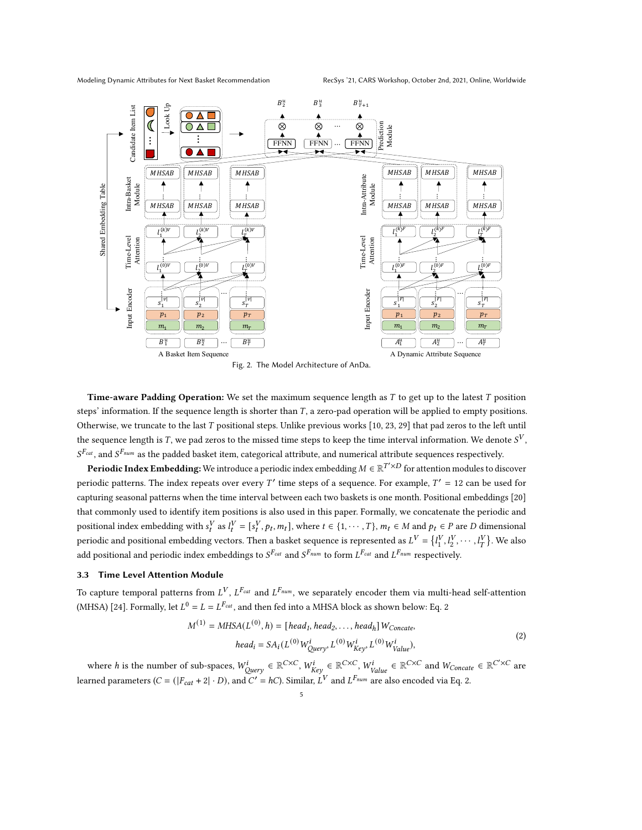Modeling Dynamic Attributes for Next Basket Recommendation RecSys '21, CARS Workshop, October 2nd, 2021, Online, Worldwide

<span id="page-4-0"></span>

Time-aware Padding Operation: We set the maximum sequence length as  $T$  to get up to the latest  $T$  position steps' information. If the sequence length is shorter than  $T$ , a zero-pad operation will be applied to empty positions. Otherwise, we truncate to the last  $T$  positional steps. Unlike previous works [\[10,](#page-8-0) [23,](#page-9-1) [29\]](#page-9-2) that pad zeros to the left until the sequence length is  $T$ , we pad zeros to the missed time steps to keep the time interval information. We denote  $S^V$ ,  $S^{F_{cat}}$ , and  $S^{F_{num}}$  as the padded basket item, categorical attribute, and numerical attribute sequences respectively.

**Periodic Index Embedding:** We introduce a periodic index embedding  $M\in\mathbb{R}^{T'\times D}$  for attention modules to discover periodic patterns. The index repeats over every T' time steps of a sequence. For example,  $T' = 12$  can be used for capturing seasonal patterns when the time interval between each two baskets is one month. Positional embeddings [\[20\]](#page-9-13) that commonly used to identify item positions is also used in this paper. Formally, we concatenate the periodic and positional index embedding with  $s_t^V$  as  $l_t^V = [s_t^V, p_t, m_t]$ , where  $t \in \{1, \cdots, T\}$ ,  $m_t \in M$  and  $p_t \in P$  are  $D$  dimensional periodic and positional embedding vectors. Then a basket sequence is represented as  $L^V = \{l_1^V\}$  $\{V_1, l_2^V, \cdots, l_T^V\}$ . We also add positional and periodic index embeddings to  $S^{F_{cat}}$  and  $S^{F_{num}}$  to form  $L^{F_{cat}}$  and  $L^{F_{num}}$  respectively.

### 3.3 Time Level Attention Module

To capture temporal patterns from  $L^V$ ,  $L^{F_{cat}}$  and  $L^{F_{num}}$ , we separately encoder them via multi-head self-attention (MHSA) [\[24\]](#page-9-12). Formally, let  $L^0 = L = L^{F_{cat}}$ , and then fed into a MHSA block as shown below: Eq. [2](#page-4-1)

<span id="page-4-1"></span>
$$
M^{(1)} = MHSA(L^{(0)}, h) = [head_1, head_2, ..., head_h] W_{Concate},
$$
  
\n
$$
head_i = SA_i(L^{(0)} W_{Query}^i, L^{(0)} W_{Key}^i, L^{(0)} W_{Value}^i),
$$
\n(2)

where *h* is the number of sub-spaces,  $W^i_{Query} \in \mathbb{R}^{C \times C}$ ,  $W^i_{Key} \in \mathbb{R}^{C \times C}$ ,  $W^i_{Value} \in \mathbb{R}^{C \times C}$  and  $W_{Concate} \in \mathbb{R}^{C' \times C}$  are learned parameters (C = (| $F_{cat}$  + 2| · D), and  $C'$  = hC). Similar,  $L^V$  and  $L^{F_{num}}$  are also encoded via Eq. [2.](#page-4-1)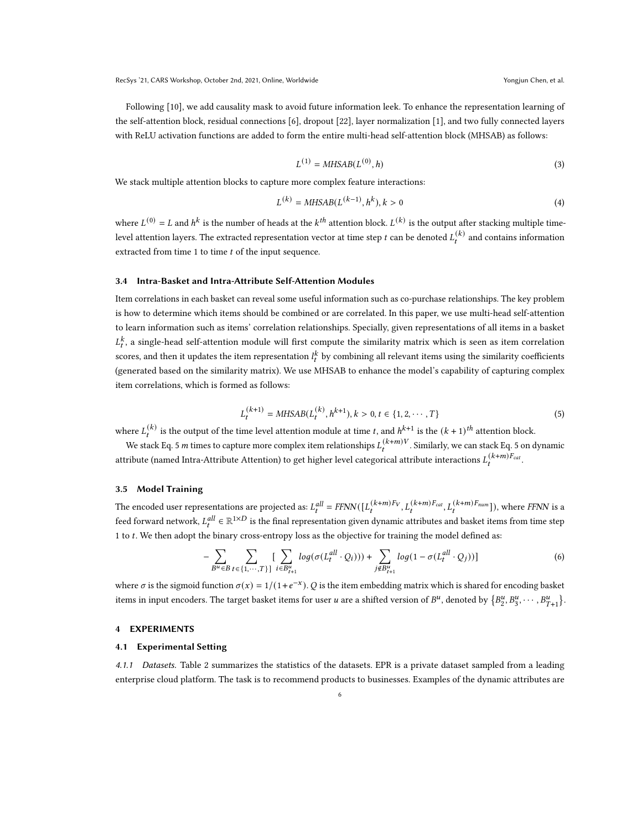Following [\[10\]](#page-8-0), we add causality mask to avoid future information leek. To enhance the representation learning of the self-attention block, residual connections [\[6\]](#page-8-12), dropout [\[22\]](#page-9-14), layer normalization [\[1\]](#page-8-13), and two fully connected layers with ReLU activation functions are added to form the entire multi-head self-attention block (MHSAB) as follows:

$$
L^{(1)} = MHSAB(L^{(0)}, h)
$$
\n(3)

We stack multiple attention blocks to capture more complex feature interactions:

$$
L^{(k)} = \text{MHSAB}(L^{(k-1)}, h^k), k > 0 \tag{4}
$$

where  $L^{(0)} = L$  and  $h^k$  is the number of heads at the  $k^{th}$  attention block.  $L^{(k)}$  is the output after stacking multiple timelevel attention layers. The extracted representation vector at time step  $t$  can be denoted  $L_t^{(k)}$  and contains information extracted from time 1 to time  $t$  of the input sequence.

### 3.4 Intra-Basket and Intra-Attribute Self-Attention Modules

Item correlations in each basket can reveal some useful information such as co-purchase relationships. The key problem is how to determine which items should be combined or are correlated. In this paper, we use multi-head self-attention to learn information such as items' correlation relationships. Specially, given representations of all items in a basket  $L_t^k$ , a single-head self-attention module will first compute the similarity matrix which is seen as item correlation scores, and then it updates the item representation  $l_t^k$  by combining all relevant items using the similarity coefficients (generated based on the similarity matrix). We use MHSAB to enhance the model's capability of capturing complex item correlations, which is formed as follows:

<span id="page-5-0"></span>
$$
L_t^{(k+1)} = \text{MHSAB}(L_t^{(k)}, h^{k+1}), k > 0, t \in \{1, 2, \cdots, T\} \tag{5}
$$

where  $L_t^{(k)}$  is the output of the time level attention module at time t, and  $h^{k+1}$  is the  $(k+1)$ <sup>th</sup> attention block.

We stack Eq. [5](#page-5-0) m times to capture more complex item relationships  $L_t^{(k+m)V}$ . Similarly, we can stack Eq. 5 on dynamic attribute (named Intra-Attribute Attention) to get higher level categorical attribute interactions  $L_t^{(k+m)F_{cat}}$ .

# 3.5 Model Training

The encoded user representations are projected as:  $L_t^{all} = FFNN([L_t^{(k+m)F_V}, L_t^{(k+m)F_{cat}}, L_t^{(k+m)F_{num}}])$ , where FFNN is a feed forward network,  $L_t^{all} \in \mathbb{R}^{1 \times D}$  is the final representation given dynamic attributes and basket items from time step 1 to  $t$ . We then adopt the binary cross-entropy loss as the objective for training the model defined as:

$$
-\sum_{B^u\in B}\sum_{t\in\{1,\cdots,T\}\}}\left[\sum_{i\in B^u_{t+1}}log(\sigma(L_t^{all}\cdot Q_i)))+\sum_{j\notin B^u_{t+1}}log(1-\sigma(L_t^{all}\cdot Q_j))\right]
$$
(6)

where  $\sigma$  is the sigmoid function  $\sigma(x) = 1/(1+e^{-x})$ . Q is the item embedding matrix which is shared for encoding basket items in input encoders. The target basket items for user  $u$  are a shifted version of  $B^u$ , denoted by  $\{B^u_j\}$  $_{2}^{u}, B_{3}^{u}, \cdots, B_{T+1}^{u}$ .

# 4 EXPERIMENTS

## 4.1 Experimental Setting

4.1.1 Datasets. Table [2](#page-6-0) summarizes the statistics of the datasets. EPR is a private dataset sampled from a leading enterprise cloud platform. The task is to recommend products to businesses. Examples of the dynamic attributes are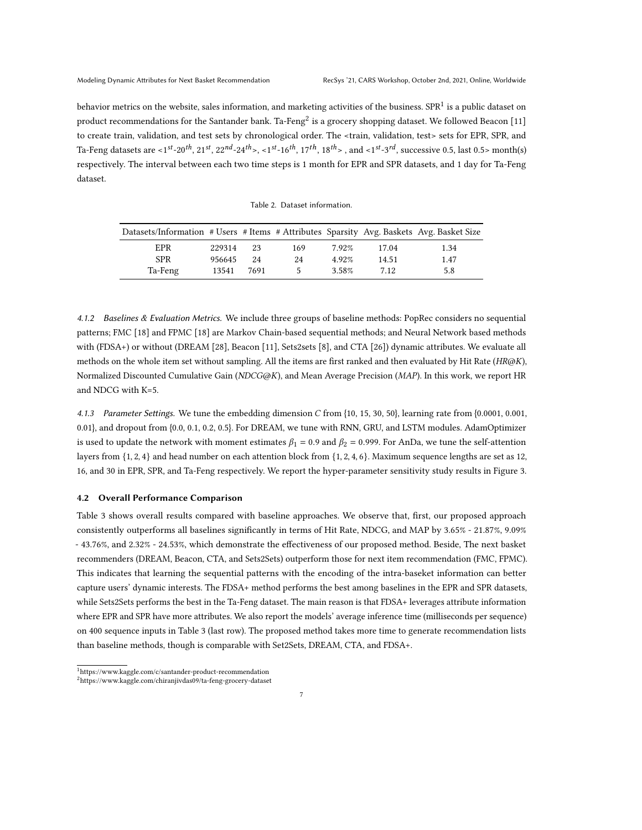behavior metrics on the website, sales information, and marketing activities of the business. SPR $^1$  $^1$  is a public dataset on product recommendations for the Santander bank. Ta-Feng $^2$  $^2$  is a grocery shopping dataset. We followed Beacon [\[11\]](#page-8-4) to create train, validation, and test sets by chronological order. The <train, validation, test> sets for EPR, SPR, and Ta-Feng datasets are  $\lt1^{st}$ -20<sup>th</sup>, 21<sup>st</sup>, 22<sup>nd</sup>-24<sup>th</sup>>,  $\lt1^{st}$ -16<sup>th</sup>, 17<sup>th</sup>, 18<sup>th</sup>>, and  $\lt1^{st}$ -3<sup>rd</sup>, successive 0.5, last 0.5> month(s) respectively. The interval between each two time steps is 1 month for EPR and SPR datasets, and 1 day for Ta-Feng dataset.

|  | Table 2. Dataset information. |  |
|--|-------------------------------|--|
|  |                               |  |
|  |                               |  |
|  |                               |  |
|  |                               |  |
|  |                               |  |
|  |                               |  |
|  |                               |  |
|  |                               |  |
|  |                               |  |
|  |                               |  |
|  |                               |  |
|  |                               |  |
|  |                               |  |
|  |                               |  |

<span id="page-6-0"></span>

| Datasets/Information # Users # Items # Attributes Sparsity Avg. Baskets Avg. Basket Size |        |      |        |       |       |      |
|------------------------------------------------------------------------------------------|--------|------|--------|-------|-------|------|
| <b>EPR</b>                                                                               | 229314 | 23   | 169    | 7.92% | 17.04 | 1.34 |
| <b>SPR</b>                                                                               | 956645 | 24   | 24     | 4.92% | 14.51 | 1.47 |
| Ta-Feng                                                                                  | 13541  | 7691 | $\sim$ | 3.58% | 7.12  | 5.8  |

4.1.2 Baselines & Evaluation Metrics. We include three groups of baseline methods: PopRec considers no sequential patterns; FMC [\[18\]](#page-9-5) and FPMC [\[18\]](#page-9-5) are Markov Chain-based sequential methods; and Neural Network based methods with (FDSA+) or without (DREAM [\[28\]](#page-9-4), Beacon [\[11\]](#page-8-4), Sets2sets [\[8\]](#page-8-3), and CTA [\[26\]](#page-9-15)) dynamic attributes. We evaluate all methods on the whole item set without sampling. All the items are first ranked and then evaluated by Hit Rate (HR@K), Normalized Discounted Cumulative Gain (NDCG@K), and Mean Average Precision (MAP). In this work, we report HR and NDCG with K=5.

4.1.3 Parameter Settings. We tune the embedding dimension  $C$  from  $\{10, 15, 30, 50\}$ , learning rate from  $\{0.0001, 0.001,$ 0.01}, and dropout from {0.0, 0.1, 0.2, 0.5}. For DREAM, we tune with RNN, GRU, and LSTM modules. AdamOptimizer is used to update the network with moment estimates  $\beta_1 = 0.9$  and  $\beta_2 = 0.999$ . For AnDa, we tune the self-attention layers from  $\{1, 2, 4\}$  and head number on each attention block from  $\{1, 2, 4, 6\}$ . Maximum sequence lengths are set as 12, 16, and 30 in EPR, SPR, and Ta-Feng respectively. We report the hyper-parameter sensitivity study results in Figure [3.](#page-8-14)

## 4.2 Overall Performance Comparison

Table [3](#page-7-0) shows overall results compared with baseline approaches. We observe that, first, our proposed approach consistently outperforms all baselines significantly in terms of Hit Rate, NDCG, and MAP by 3.65% - 21.87%, 9.09% - 43.76%, and 2.32% - 24.53%, which demonstrate the effectiveness of our proposed method. Beside, The next basket recommenders (DREAM, Beacon, CTA, and Sets2Sets) outperform those for next item recommendation (FMC, FPMC). This indicates that learning the sequential patterns with the encoding of the intra-baseket information can better capture users' dynamic interests. The FDSA+ method performs the best among baselines in the EPR and SPR datasets, while Sets2Sets performs the best in the Ta-Feng dataset. The main reason is that FDSA+ leverages attribute information where EPR and SPR have more attributes. We also report the models' average inference time (milliseconds per sequence) on 400 sequence inputs in Table [3](#page-7-0) (last row). The proposed method takes more time to generate recommendation lists than baseline methods, though is comparable with Set2Sets, DREAM, CTA, and FDSA+.

<span id="page-6-1"></span><sup>1</sup>https://www.kaggle.com/c/santander-product-recommendation

<span id="page-6-2"></span><sup>2</sup>https://www.kaggle.com/chiranjivdas09/ta-feng-grocery-dataset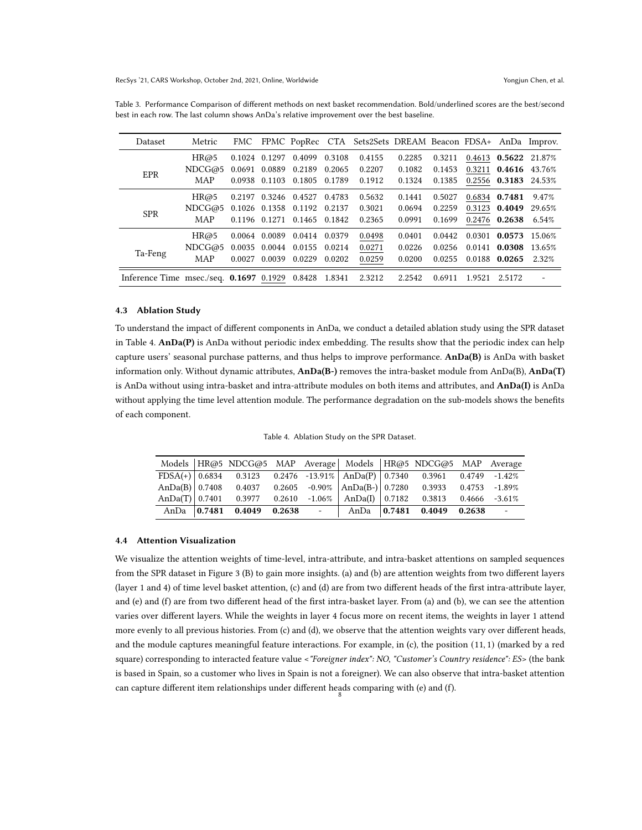RecSys '21, CARS Workshop, October 2nd, 2021, Online, Worldwide Yongjun Chen, et al.

| Dataset                                               | Metric                             |               |                             |        | FMC FPMC PopRec CTA Sets2Sets DREAM Beacon FDSA+ AnDa Improv. |        |        |        |                        |                             |
|-------------------------------------------------------|------------------------------------|---------------|-----------------------------|--------|---------------------------------------------------------------|--------|--------|--------|------------------------|-----------------------------|
|                                                       | HR@5                               |               | 0.1024 0.1297 0.4099 0.3108 |        | 0.4155                                                        | 0.2285 | 0.3211 |        |                        | $0.4613$ $0.5622$ $21.87\%$ |
| EPR                                                   | NDCG@5                             |               | 0.0691 0.0889 0.2189 0.2065 |        | 0.2207                                                        | 0.1082 | 0.1453 |        |                        | 0.3211 0.4616 43.76%        |
|                                                       | MAP                                |               | 0.0938 0.1103 0.1805 0.1789 |        | 0.1912                                                        | 0.1324 | 0.1385 |        |                        | $0.2556$ 0.3183 24.53%      |
|                                                       | HR@5                               |               | 0.2197 0.3246 0.4527        | 0.4783 | 0.5632                                                        | 0.1441 | 0.5027 |        | 0.6834 0.7481          | 9.47%                       |
| <b>SPR</b>                                            | NDCG@5 0.1026 0.1358 0.1192 0.2137 |               |                             |        | 0.3021                                                        | 0.0694 | 0.2259 |        | 0.3123 0.4049          | 29.65%                      |
|                                                       | MAP                                |               | 0.1196 0.1271 0.1465 0.1842 |        | 0.2365                                                        | 0.0991 | 0.1699 |        | $0.2476$ 0.2638        | 6.54%                       |
|                                                       | HR@5                               | 0.0064 0.0089 | 0.0414 0.0379               |        | 0.0498                                                        | 0.0401 | 0.0442 |        | $0.0301$ 0.0573 15.06% |                             |
| Ta-Feng                                               | NDCG@5                             |               | 0.0035 0.0044 0.0155 0.0214 |        | 0.0271                                                        | 0.0226 | 0.0256 |        | $0.0141$ 0.0308        | 13.65%                      |
|                                                       | MAP                                | 0.0027 0.0039 | 0.0229                      | 0.0202 | 0.0259                                                        | 0.0200 | 0.0255 |        | 0.0188 0.0265          | 2.32%                       |
| Inference Time msec./seq. 0.1697 0.1929 0.8428 1.8341 |                                    |               |                             |        | 2.3212                                                        | 2.2542 | 0.6911 | 1.9521 | 2.5172                 |                             |

<span id="page-7-0"></span>Table 3. Performance Comparison of different methods on next basket recommendation. Bold/underlined scores are the best/second best in each row. The last column shows AnDa's relative improvement over the best baseline.

### 4.3 Ablation Study

To understand the impact of different components in AnDa, we conduct a detailed ablation study using the SPR dataset in Table [4.](#page-7-1) AnDa(P) is AnDa without periodic index embedding. The results show that the periodic index can help capture users' seasonal purchase patterns, and thus helps to improve performance. AnDa(B) is AnDa with basket information only. Without dynamic attributes, AnDa(B-) removes the intra-basket module from AnDa(B), AnDa(T) is AnDa without using intra-basket and intra-attribute modules on both items and attributes, and AnDa(I) is AnDa without applying the time level attention module. The performance degradation on the sub-models shows the benefits of each component.

Table 4. Ablation Study on the SPR Dataset.

<span id="page-7-1"></span>

|  | Models   HR@5 NDCG@5 MAP Average   Models   HR@5 NDCG@5 MAP Average                                             |  |  |  |  |
|--|-----------------------------------------------------------------------------------------------------------------|--|--|--|--|
|  | FDSA(+) $\begin{array}{ l} 0.6834 & 0.3123 & 0.2476 & -13.91\% \end{array}$ AnDa(P) 0.7340 0.3961 0.4749 -1.42% |  |  |  |  |
|  | AnDa(B) 0.7408 0.4037 0.2605 -0.90% AnDa(B-) 0.7280 0.3933 0.4753 -1.89%                                        |  |  |  |  |
|  | AnDa(T) $0.7401$ $0.3977$ $0.2610$ $-1.06\%$ $\Delta$ AnDa(I) $0.7182$ $0.3813$ $0.4666$ $-3.61\%$              |  |  |  |  |
|  | AnDa 0.7481 0.4049 0.2638 - AnDa 0.7481 0.4049 0.2638 -                                                         |  |  |  |  |

## 4.4 Attention Visualization

We visualize the attention weights of time-level, intra-attribute, and intra-basket attentions on sampled sequences from the SPR dataset in Figure [3](#page-8-14) (B) to gain more insights. (a) and (b) are attention weights from two different layers (layer 1 and 4) of time level basket attention, (c) and (d) are from two different heads of the first intra-attribute layer, and (e) and (f) are from two different head of the first intra-basket layer. From (a) and (b), we can see the attention varies over different layers. While the weights in layer 4 focus more on recent items, the weights in layer 1 attend more evenly to all previous histories. From (c) and (d), we observe that the attention weights vary over different heads, and the module captures meaningful feature interactions. For example, in (c), the position (11, 1) (marked by a red square) corresponding to interacted feature value <"Foreigner index": NO, "Customer's Country residence": ES> (the bank is based in Spain, so a customer who lives in Spain is not a foreigner). We can also observe that intra-basket attention can capture different item relationships under different heads comparing with (e) and (f). 8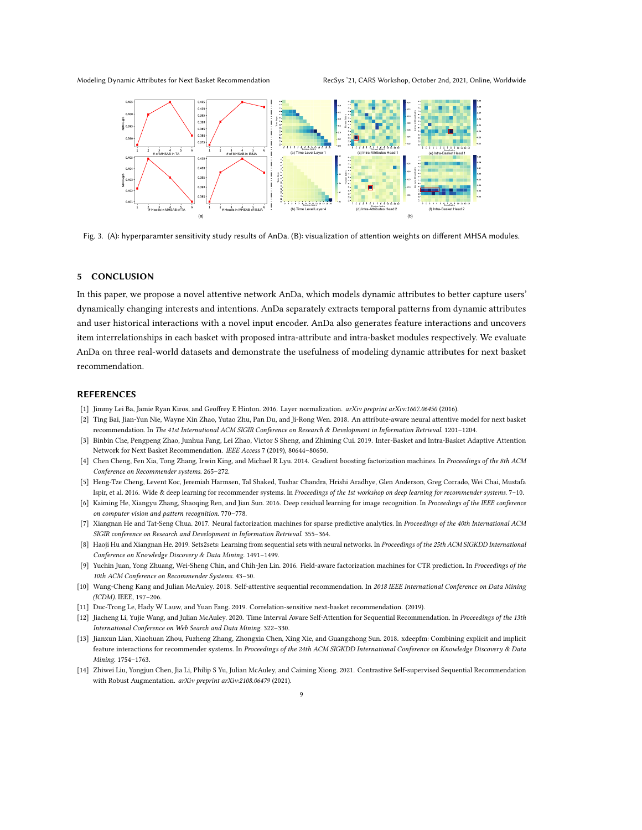<span id="page-8-14"></span>

Modeling Dynamic Attributes for Next Basket Recommendation RecSys '21, CARS Workshop, October 2nd, 2021, Online, Worldwide



Fig. 3. (A): hyperparamter sensitivity study results of AnDa. (B): visualization of attention weights on different MHSA modules.

## 5 CONCLUSION

In this paper, we propose a novel attentive network AnDa, which models dynamic attributes to better capture users' dynamically changing interests and intentions. AnDa separately extracts temporal patterns from dynamic attributes and user historical interactions with a novel input encoder. AnDa also generates feature interactions and uncovers item interrelationships in each basket with proposed intra-attribute and intra-basket modules respectively. We evaluate AnDa on three real-world datasets and demonstrate the usefulness of modeling dynamic attributes for next basket recommendation.

#### REFERENCES

- <span id="page-8-13"></span>[1] Jimmy Lei Ba, Jamie Ryan Kiros, and Geoffrey E Hinton. 2016. Layer normalization. arXiv preprint arXiv:1607.06450 (2016).
- <span id="page-8-5"></span>[2] Ting Bai, Jian-Yun Nie, Wayne Xin Zhao, Yutao Zhu, Pan Du, and Ji-Rong Wen. 2018. An attribute-aware neural attentive model for next basket recommendation. In The 41st International ACM SIGIR Conference on Research & Development in Information Retrieval. 1201–1204.
- <span id="page-8-6"></span>[3] Binbin Che, Pengpeng Zhao, Junhua Fang, Lei Zhao, Victor S Sheng, and Zhiming Cui. 2019. Inter-Basket and Intra-Basket Adaptive Attention Network for Next Basket Recommendation. IEEE Access 7 (2019), 80644–80650.
- <span id="page-8-7"></span>[4] Chen Cheng, Fen Xia, Tong Zhang, Irwin King, and Michael R Lyu. 2014. Gradient boosting factorization machines. In Proceedings of the 8th ACM Conference on Recommender systems. 265–272.
- <span id="page-8-10"></span>[5] Heng-Tze Cheng, Levent Koc, Jeremiah Harmsen, Tal Shaked, Tushar Chandra, Hrishi Aradhye, Glen Anderson, Greg Corrado, Wei Chai, Mustafa Ispir, et al. 2016. Wide & deep learning for recommender systems. In Proceedings of the 1st workshop on deep learning for recommender systems. 7–10.
- <span id="page-8-12"></span>[6] Kaiming He, Xiangyu Zhang, Shaoqing Ren, and Jian Sun. 2016. Deep residual learning for image recognition. In Proceedings of the IEEE conference on computer vision and pattern recognition. 770–778.
- <span id="page-8-9"></span>[7] Xiangnan He and Tat-Seng Chua. 2017. Neural factorization machines for sparse predictive analytics. In Proceedings of the 40th International ACM SIGIR conference on Research and Development in Information Retrieval. 355–364.
- <span id="page-8-3"></span>[8] Haoji Hu and Xiangnan He. 2019. Sets2sets: Learning from sequential sets with neural networks. In Proceedings of the 25th ACM SIGKDD International Conference on Knowledge Discovery & Data Mining. 1491–1499.
- <span id="page-8-8"></span>[9] Yuchin Juan, Yong Zhuang, Wei-Sheng Chin, and Chih-Jen Lin. 2016. Field-aware factorization machines for CTR prediction. In Proceedings of the 10th ACM Conference on Recommender Systems. 43–50.
- <span id="page-8-0"></span>[10] Wang-Cheng Kang and Julian McAuley. 2018. Self-attentive sequential recommendation. In 2018 IEEE International Conference on Data Mining (ICDM). IEEE, 197–206.
- <span id="page-8-4"></span>[11] Duc-Trong Le, Hady W Lauw, and Yuan Fang. 2019. Correlation-sensitive next-basket recommendation. (2019).
- <span id="page-8-1"></span>[12] Jiacheng Li, Yujie Wang, and Julian McAuley. 2020. Time Interval Aware Self-Attention for Sequential Recommendation. In Proceedings of the 13th International Conference on Web Search and Data Mining. 322–330.
- <span id="page-8-11"></span>[13] Jianxun Lian, Xiaohuan Zhou, Fuzheng Zhang, Zhongxia Chen, Xing Xie, and Guangzhong Sun. 2018. xdeepfm: Combining explicit and implicit feature interactions for recommender systems. In Proceedings of the 24th ACM SIGKDD International Conference on Knowledge Discovery & Data Mining. 1754–1763.
- <span id="page-8-2"></span>[14] Zhiwei Liu, Yongjun Chen, Jia Li, Philip S Yu, Julian McAuley, and Caiming Xiong. 2021. Contrastive Self-supervised Sequential Recommendation with Robust Augmentation. arXiv preprint arXiv:2108.06479 (2021).